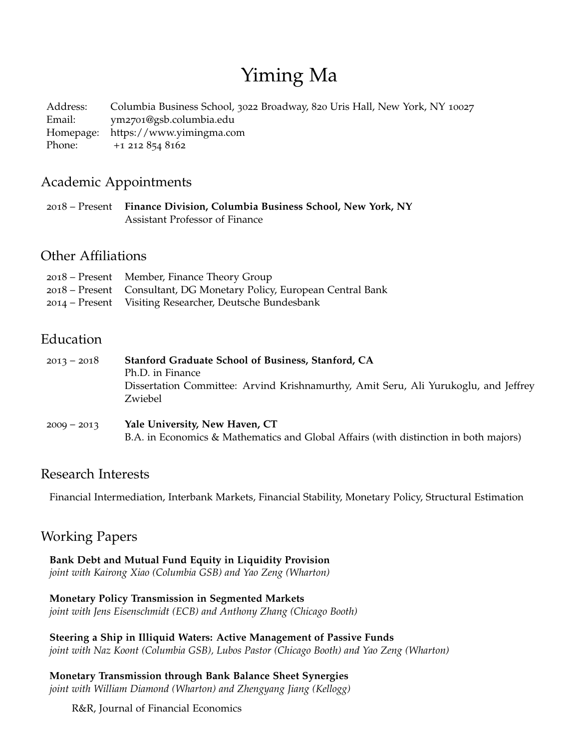# Yiming Ma

Address: Columbia Business School, 3022 Broadway, 820 Uris Hall, New York, NY 10027 Email: ym2701[@gsb.columbia.edu](mailto:ym2701@gsb.columbia.edu) Homepage: <https://www.yimingma.com> Phone: +1 212 854 8162

## Academic Appointments

2018 – Present **Finance Division, Columbia Business School, New York, NY** Assistant Professor of Finance

## Other Affiliations

| 2018 – Present Member, Finance Theory Group                          |
|----------------------------------------------------------------------|
| 2018 – Present Consultant, DG Monetary Policy, European Central Bank |
| 2014 – Present Visiting Researcher, Deutsche Bundesbank              |

# Education

| $2013 - 2018$ | Stanford Graduate School of Business, Stanford, CA<br>Ph.D. in Finance<br>Dissertation Committee: Arvind Krishnamurthy, Amit Seru, Ali Yurukoglu, and Jeffrey<br>Zwiebel |
|---------------|--------------------------------------------------------------------------------------------------------------------------------------------------------------------------|
| $2009 - 2013$ | Yale University, New Haven, CT<br>B.A. in Economics & Mathematics and Global Affairs (with distinction in both majors)                                                   |

### Research Interests

Financial Intermediation, Interbank Markets, Financial Stability, Monetary Policy, Structural Estimation

# Working Papers

**Bank Debt and Mutual Fund Equity in Liquidity Provision** *joint with Kairong Xiao (Columbia GSB) and Yao Zeng (Wharton)*

# **Monetary Policy Transmission in Segmented Markets**

*joint with Jens Eisenschmidt (ECB) and Anthony Zhang (Chicago Booth)*

### **Steering a Ship in Illiquid Waters: Active Management of Passive Funds**

*joint with Naz Koont (Columbia GSB), Lubos Pastor (Chicago Booth) and Yao Zeng (Wharton)*

**Monetary Transmission through Bank Balance Sheet Synergies** *joint with William Diamond (Wharton) and Zhengyang Jiang (Kellogg)*

R&R, Journal of Financial Economics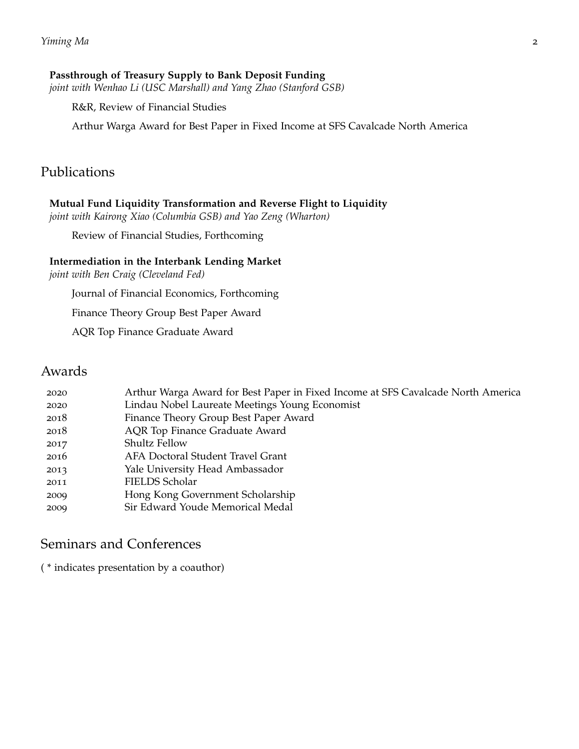#### **Passthrough of Treasury Supply to Bank Deposit Funding**

*joint with Wenhao Li (USC Marshall) and Yang Zhao (Stanford GSB)*

R&R, Review of Financial Studies

Arthur Warga Award for Best Paper in Fixed Income at SFS Cavalcade North America

### Publications

#### **Mutual Fund Liquidity Transformation and Reverse Flight to Liquidity**

*joint with Kairong Xiao (Columbia GSB) and Yao Zeng (Wharton)*

Review of Financial Studies, Forthcoming

#### **Intermediation in the Interbank Lending Market**

*joint with Ben Craig (Cleveland Fed)*

Journal of Financial Economics, Forthcoming

Finance Theory Group Best Paper Award

AQR Top Finance Graduate Award

### Awards

| Lindau Nobel Laureate Meetings Young Economist<br>2020<br>Finance Theory Group Best Paper Award<br>2018<br><b>AQR</b> Top Finance Graduate Award<br>2018<br><b>Shultz Fellow</b><br>2017<br>2016<br>AFA Doctoral Student Travel Grant<br>Yale University Head Ambassador |  |
|--------------------------------------------------------------------------------------------------------------------------------------------------------------------------------------------------------------------------------------------------------------------------|--|
|                                                                                                                                                                                                                                                                          |  |
|                                                                                                                                                                                                                                                                          |  |
|                                                                                                                                                                                                                                                                          |  |
|                                                                                                                                                                                                                                                                          |  |
|                                                                                                                                                                                                                                                                          |  |
| 2013                                                                                                                                                                                                                                                                     |  |
| FIELDS Scholar<br>2011                                                                                                                                                                                                                                                   |  |
| Hong Kong Government Scholarship<br>2009                                                                                                                                                                                                                                 |  |
| Sir Edward Youde Memorical Medal<br>2009                                                                                                                                                                                                                                 |  |

## Seminars and Conferences

( \* indicates presentation by a coauthor)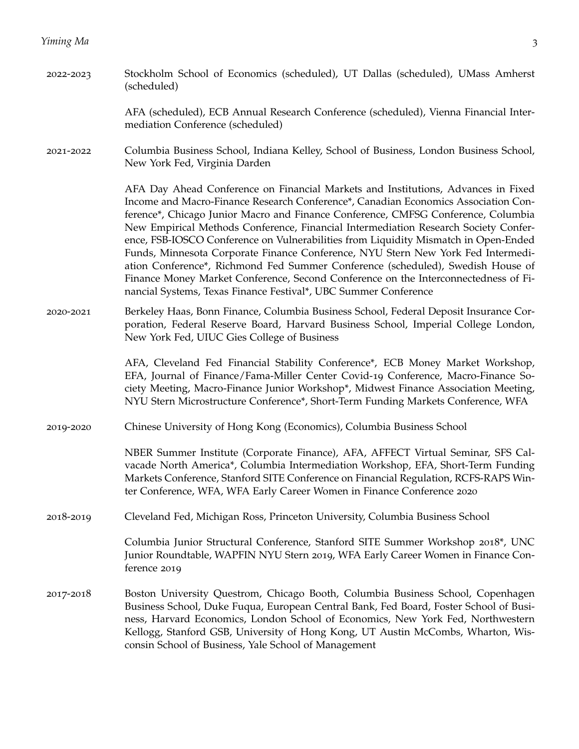AFA (scheduled), ECB Annual Research Conference (scheduled), Vienna Financial Intermediation Conference (scheduled)

2021-2022 Columbia Business School, Indiana Kelley, School of Business, London Business School, New York Fed, Virginia Darden

> AFA Day Ahead Conference on Financial Markets and Institutions, Advances in Fixed Income and Macro-Finance Research Conference\*, Canadian Economics Association Conference\*, Chicago Junior Macro and Finance Conference, CMFSG Conference, Columbia New Empirical Methods Conference, Financial Intermediation Research Society Conference, FSB-IOSCO Conference on Vulnerabilities from Liquidity Mismatch in Open-Ended Funds, Minnesota Corporate Finance Conference, NYU Stern New York Fed Intermediation Conference\*, Richmond Fed Summer Conference (scheduled), Swedish House of Finance Money Market Conference, Second Conference on the Interconnectedness of Financial Systems, Texas Finance Festival\*, UBC Summer Conference

2020-2021 Berkeley Haas, Bonn Finance, Columbia Business School, Federal Deposit Insurance Corporation, Federal Reserve Board, Harvard Business School, Imperial College London, New York Fed, UIUC Gies College of Business

> AFA, Cleveland Fed Financial Stability Conference\*, ECB Money Market Workshop, EFA, Journal of Finance/Fama-Miller Center Covid-19 Conference, Macro-Finance Society Meeting, Macro-Finance Junior Workshop\*, Midwest Finance Association Meeting, NYU Stern Microstructure Conference\*, Short-Term Funding Markets Conference, WFA

2019-2020 Chinese University of Hong Kong (Economics), Columbia Business School

NBER Summer Institute (Corporate Finance), AFA, AFFECT Virtual Seminar, SFS Calvacade North America\*, Columbia Intermediation Workshop, EFA, Short-Term Funding Markets Conference, Stanford SITE Conference on Financial Regulation, RCFS-RAPS Winter Conference, WFA, WFA Early Career Women in Finance Conference 2020

2018-2019 Cleveland Fed, Michigan Ross, Princeton University, Columbia Business School

Columbia Junior Structural Conference, Stanford SITE Summer Workshop 2018\*, UNC Junior Roundtable, WAPFIN NYU Stern 2019, WFA Early Career Women in Finance Conference 2019

2017-2018 Boston University Questrom, Chicago Booth, Columbia Business School, Copenhagen Business School, Duke Fuqua, European Central Bank, Fed Board, Foster School of Business, Harvard Economics, London School of Economics, New York Fed, Northwestern Kellogg, Stanford GSB, University of Hong Kong, UT Austin McCombs, Wharton, Wisconsin School of Business, Yale School of Management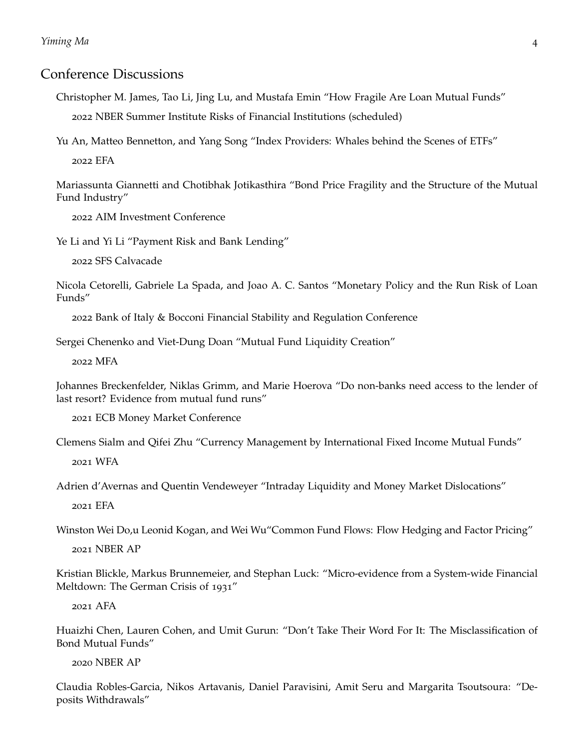### Conference Discussions

Christopher M. James, Tao Li, Jing Lu, and Mustafa Emin "How Fragile Are Loan Mutual Funds" 2022 NBER Summer Institute Risks of Financial Institutions (scheduled)

Yu An, Matteo Bennetton, and Yang Song "Index Providers: Whales behind the Scenes of ETFs"

2022 EFA

Mariassunta Giannetti and Chotibhak Jotikasthira "Bond Price Fragility and the Structure of the Mutual Fund Industry"

2022 AIM Investment Conference

Ye Li and Yi Li "Payment Risk and Bank Lending"

2022 SFS Calvacade

Nicola Cetorelli, Gabriele La Spada, and Joao A. C. Santos "Monetary Policy and the Run Risk of Loan Funds"

2022 Bank of Italy & Bocconi Financial Stability and Regulation Conference

Sergei Chenenko and Viet-Dung Doan "Mutual Fund Liquidity Creation"

2022 MFA

Johannes Breckenfelder, Niklas Grimm, and Marie Hoerova "Do non-banks need access to the lender of last resort? Evidence from mutual fund runs"

2021 ECB Money Market Conference

Clemens Sialm and Qifei Zhu "Currency Management by International Fixed Income Mutual Funds" 2021 WFA

Adrien d'Avernas and Quentin Vendeweyer "Intraday Liquidity and Money Market Dislocations"

2021 EFA

Winston Wei Do,u Leonid Kogan, and Wei Wu"Common Fund Flows: Flow Hedging and Factor Pricing"

2021 NBER AP

Kristian Blickle, Markus Brunnemeier, and Stephan Luck: "Micro-evidence from a System-wide Financial Meltdown: The German Crisis of 1931"

2021 AFA

Huaizhi Chen, Lauren Cohen, and Umit Gurun: "Don't Take Their Word For It: The Misclassification of Bond Mutual Funds"

2020 NBER AP

Claudia Robles-Garcia, Nikos Artavanis, Daniel Paravisini, Amit Seru and Margarita Tsoutsoura: "Deposits Withdrawals"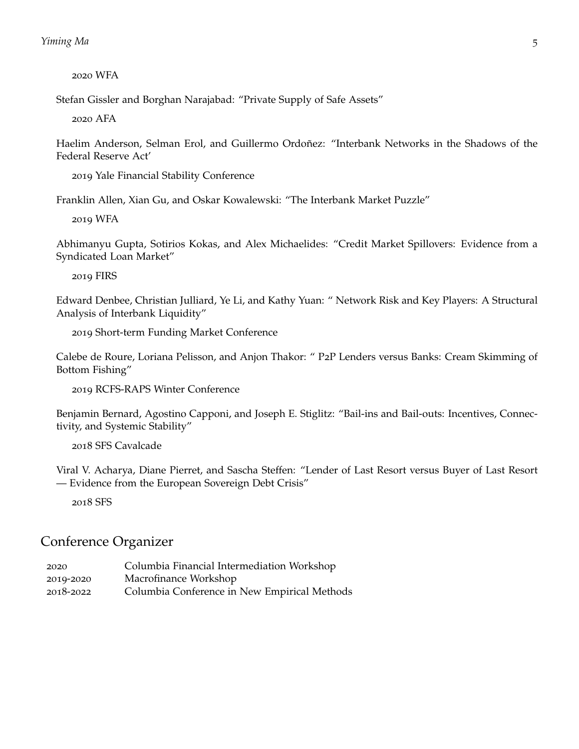2020 WFA

Stefan Gissler and Borghan Narajabad: "Private Supply of Safe Assets"

2020 AFA

Haelim Anderson, Selman Erol, and Guillermo Ordoñez: "Interbank Networks in the Shadows of the Federal Reserve Act'

2019 Yale Financial Stability Conference

Franklin Allen, Xian Gu, and Oskar Kowalewski: "The Interbank Market Puzzle"

2019 WFA

Abhimanyu Gupta, Sotirios Kokas, and Alex Michaelides: "Credit Market Spillovers: Evidence from a Syndicated Loan Market"

2019 FIRS

Edward Denbee, Christian Julliard, Ye Li, and Kathy Yuan: " Network Risk and Key Players: A Structural Analysis of Interbank Liquidity"

2019 Short-term Funding Market Conference

Calebe de Roure, Loriana Pelisson, and Anjon Thakor: " P2P Lenders versus Banks: Cream Skimming of Bottom Fishing"

2019 RCFS-RAPS Winter Conference

Benjamin Bernard, Agostino Capponi, and Joseph E. Stiglitz: "Bail-ins and Bail-outs: Incentives, Connectivity, and Systemic Stability"

2018 SFS Cavalcade

Viral V. Acharya, Diane Pierret, and Sascha Steffen: "Lender of Last Resort versus Buyer of Last Resort — Evidence from the European Sovereign Debt Crisis"

2018 SFS

### Conference Organizer

2020 Columbia Financial Intermediation Workshop 2019-2020 Macrofinance Workshop 2018-2022 Columbia Conference in New Empirical Methods